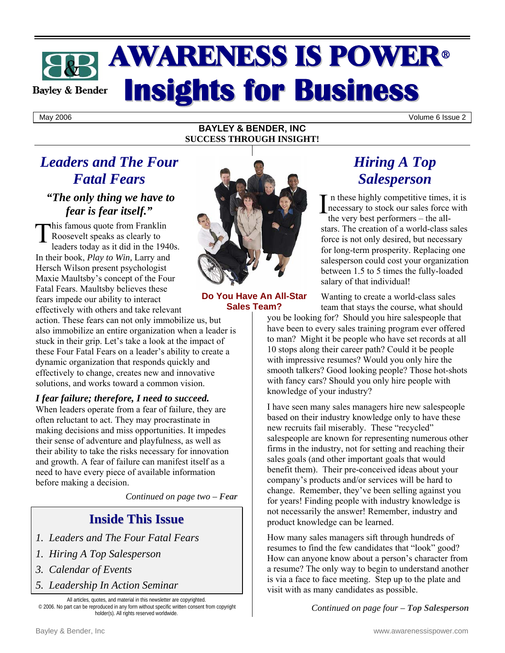# **AWARENESS IS POWER® Insights for Business Bayley & Bender**

May 2006 Volume 6 Issue 2

#### **BAYLEY & BENDER, INC SUCCESS THROUGH INSIGHT!**

## *Leaders and The Four Fatal Fears*

## *"The only thing we have to fear is fear itself."*

This famous quote from Franklin<br>Roosevelt speaks as clearly to<br>leaders today as it did in the 194 Roosevelt speaks as clearly to leaders today as it did in the 1940s. In their book, *Play to Win,* Larry and Hersch Wilson present psychologist Maxie Maultsby's concept of the Four Fatal Fears. Maultsby believes these fears impede our ability to interact effectively with others and take relevant

action. These fears can not only immobilize us, but also immobilize an entire organization when a leader is stuck in their grip. Let's take a look at the impact of these Four Fatal Fears on a leader's ability to create a dynamic organization that responds quickly and effectively to change, creates new and innovative solutions, and works toward a common vision.

### *I fear failure; therefore, I need to succeed.*

When leaders operate from a fear of failure, they are often reluctant to act. They may procrastinate in making decisions and miss opportunities. It impedes their sense of adventure and playfulness, as well as their ability to take the risks necessary for innovation and growth. A fear of failure can manifest itself as a need to have every piece of available information before making a decision.

*Continued on page two – Fear*

## **Inside This Issue**

- *1. Leaders and The Four Fatal Fears*
- *1. Hiring A Top Salesperson*
- *3. Calendar of Events*
- *5. Leadership In Action Seminar*

All articles, quotes, and material in this newsletter are copyrighted. © 2006. No part can be reproduced in any form without specific written consent from copyright holder(s). All rights reserved worldwide.



#### **Do You Have An All-Star Sales Team?**

## *Hiring A Top Salesperson*

n these highly competitive times, it is  $\prod_{\text{the} \text{ very best } \text{no} \text{ the} \text{ more than } \text{the} \text{ the} \text{ very best } \text{no} \text{ the} \text{ all}}$ the very best performers – the allstars. The creation of a world-class sales force is not only desired, but necessary for long-term prosperity. Replacing one salesperson could cost your organization between 1.5 to 5 times the fully-loaded salary of that individual!

Wanting to create a world-class sales team that stays the course, what should

you be looking for? Should you hire salespeople that have been to every sales training program ever offered to man? Might it be people who have set records at all 10 stops along their career path? Could it be people with impressive resumes? Would you only hire the smooth talkers? Good looking people? Those hot-shots with fancy cars? Should you only hire people with knowledge of your industry?

I have seen many sales managers hire new salespeople based on their industry knowledge only to have these new recruits fail miserably. These "recycled" salespeople are known for representing numerous other firms in the industry, not for setting and reaching their sales goals (and other important goals that would benefit them). Their pre-conceived ideas about your company's products and/or services will be hard to change. Remember, they've been selling against you for years! Finding people with industry knowledge is not necessarily the answer! Remember, industry and product knowledge can be learned.

How many sales managers sift through hundreds of resumes to find the few candidates that "look" good? How can anyone know about a person's character from a resume? The only way to begin to understand another is via a face to face meeting. Step up to the plate and visit with as many candidates as possible.

*Continued on page four – Top Salesperson*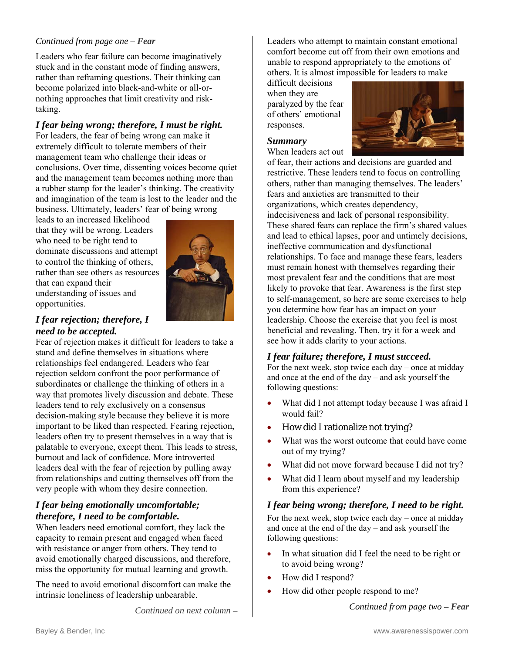#### *Continued from page one – Fear*

Leaders who fear failure can become imaginatively stuck and in the constant mode of finding answers, rather than reframing questions. Their thinking can become polarized into black-and-white or all-ornothing approaches that limit creativity and risktaking.

#### *I fear being wrong; therefore, I must be right.*

For leaders, the fear of being wrong can make it extremely difficult to tolerate members of their management team who challenge their ideas or conclusions. Over time, dissenting voices become quiet and the management team becomes nothing more than a rubber stamp for the leader's thinking. The creativity and imagination of the team is lost to the leader and the business. Ultimately, leaders' fear of being wrong

leads to an increased likelihood that they will be wrong. Leaders who need to be right tend to dominate discussions and attempt to control the thinking of others, rather than see others as resources that can expand their understanding of issues and opportunities.



#### *I fear rejection; therefore, I need to be accepted.*

Fear of rejection makes it difficult for leaders to take a stand and define themselves in situations where relationships feel endangered. Leaders who fear rejection seldom confront the poor performance of subordinates or challenge the thinking of others in a way that promotes lively discussion and debate. These leaders tend to rely exclusively on a consensus decision-making style because they believe it is more important to be liked than respected. Fearing rejection, leaders often try to present themselves in a way that is palatable to everyone, except them. This leads to stress, burnout and lack of confidence. More introverted leaders deal with the fear of rejection by pulling away from relationships and cutting themselves off from the very people with whom they desire connection.

#### *I fear being emotionally uncomfortable; therefore, I need to be comfortable.*

When leaders need emotional comfort, they lack the capacity to remain present and engaged when faced with resistance or anger from others. They tend to avoid emotionally charged discussions, and therefore, miss the opportunity for mutual learning and growth.

The need to avoid emotional discomfort can make the intrinsic loneliness of leadership unbearable.

*Continued on next column –* 

Leaders who attempt to maintain constant emotional comfort become cut off from their own emotions and unable to respond appropriately to the emotions of others. It is almost impossible for leaders to make

difficult decisions when they are paralyzed by the fear of others' emotional responses.



#### *Summary*

When leaders act out of fear, their actions and decisions are guarded and restrictive. These leaders tend to focus on controlling others, rather than managing themselves. The leaders' fears and anxieties are transmitted to their organizations, which creates dependency, indecisiveness and lack of personal responsibility. These shared fears can replace the firm's shared values and lead to ethical lapses, poor and untimely decisions, ineffective communication and dysfunctional relationships. To face and manage these fears, leaders must remain honest with themselves regarding their most prevalent fear and the conditions that are most likely to provoke that fear. Awareness is the first step to self-management, so here are some exercises to help you determine how fear has an impact on your leadership. Choose the exercise that you feel is most beneficial and revealing. Then, try it for a week and see how it adds clarity to your actions.

#### *I fear failure; therefore, I must succeed.*

For the next week, stop twice each day – once at midday and once at the end of the day – and ask yourself the following questions:

- What did I not attempt today because I was afraid I would fail?
- How did I rationalize not trying?
- What was the worst outcome that could have come out of my trying?
- What did not move forward because I did not try?
- What did I learn about myself and my leadership from this experience?

#### *I fear being wrong; therefore, I need to be right.*

For the next week, stop twice each day – once at midday and once at the end of the day – and ask yourself the following questions:

- In what situation did I feel the need to be right or to avoid being wrong?
- How did I respond?
- How did other people respond to me?

*Continued from page two – Fear*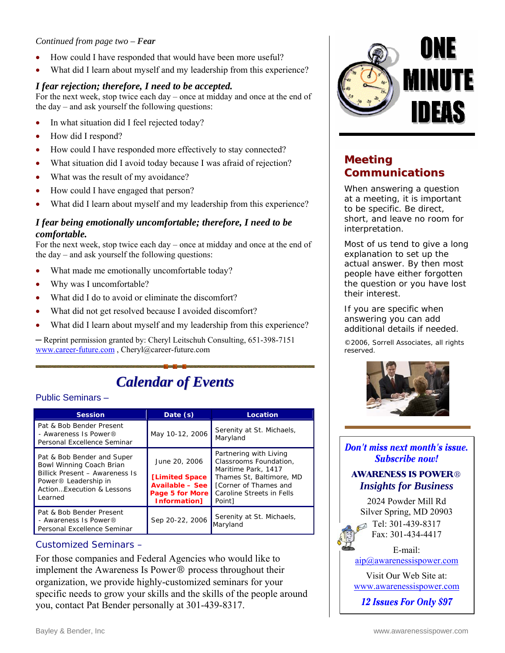#### *Continued from page two – Fear*

- How could I have responded that would have been more useful?
- What did I learn about myself and my leadership from this experience?

#### *I fear rejection; therefore, I need to be accepted.*

For the next week, stop twice each day – once at midday and once at the end of the day – and ask yourself the following questions:

- In what situation did I feel rejected today?
- How did I respond?
- How could I have responded more effectively to stay connected?
- What situation did I avoid today because I was afraid of rejection?
- What was the result of my avoidance?
- How could I have engaged that person?
- What did I learn about myself and my leadership from this experience?

#### *I fear being emotionally uncomfortable; therefore, I need to be comfortable.*

For the next week, stop twice each day – once at midday and once at the end of the day – and ask yourself the following questions:

- What made me emotionally uncomfortable today?
- Why was I uncomfortable?
- What did I do to avoid or eliminate the discomfort?
- What did not get resolved because I avoided discomfort?
- What did I learn about myself and my leadership from this experience?

─ Reprint permission granted by: Cheryl Leitschuh Consulting, 651-398-7151 www.career-future.com , Cheryl@career-future.com

## *Calendar of Events*

#### Public Seminars –

| <b>Session</b>                                                                                                                                                        | Date $(s)$                                                                                           | Location                                                                                                                                                            |
|-----------------------------------------------------------------------------------------------------------------------------------------------------------------------|------------------------------------------------------------------------------------------------------|---------------------------------------------------------------------------------------------------------------------------------------------------------------------|
| Pat & Bob Bender Present<br>- Awareness Is Power®<br>Personal Excellence Seminar                                                                                      | May 10-12, 2006                                                                                      | Serenity at St. Michaels,<br>Maryland                                                                                                                               |
| Pat & Bob Bender and Super<br>Bowl Winning Coach Brian<br>Billick Present - Awareness Is<br>Power <sup>®</sup> Leadership in<br>Action Fxecution & Lessons<br>Learned | June 20, 2006<br>[Limited Space]<br><b>Available - See</b><br>Page 5 for More<br><b>Information1</b> | Partnering with Living<br>Classrooms Foundation,<br>Maritime Park, 1417<br>Thames St, Baltimore, MD<br>[Corner of Thames and<br>Caroline Streets in Fells<br>Point] |
| Pat & Bob Bender Present<br>- Awareness Is Power®<br>Personal Excellence Seminar                                                                                      | Sep 20-22, 2006                                                                                      | Serenity at St. Michaels,<br>Maryland                                                                                                                               |

#### Customized Seminars –

For those companies and Federal Agencies who would like to implement the Awareness Is Power $\circledR$  process throughout their organization, we provide highly-customized seminars for your specific needs to grow your skills and the skills of the people around you, contact Pat Bender personally at 301-439-8317.



### **Meeting Communications**

When answering a question at a meeting, it is important to be specific. Be direct, short, and leave no room for interpretation.

Most of us tend to give a long explanation to set up the actual answer. By then most people have either forgotten the question or you have lost their interest.

If you are specific when answering you can add additional details if needed.

©2006, Sorrell Associates, all rights reserved.



Don't miss next month's issue. Subscribe now!

#### **AWARENESS IS POWER®** *Insights for Business*

2024 Powder Mill Rd Silver Spring, MD 20903  $\blacksquare$  Tel: 301-439-8317 Fax: 301-434-4417

### E-mail:

[aip@awarenessispower.com](mailto: aip@awarenessispower.com)

Visit Our Web Site at: <www.awarenessispower.com>

**12 Issues For Only \$97**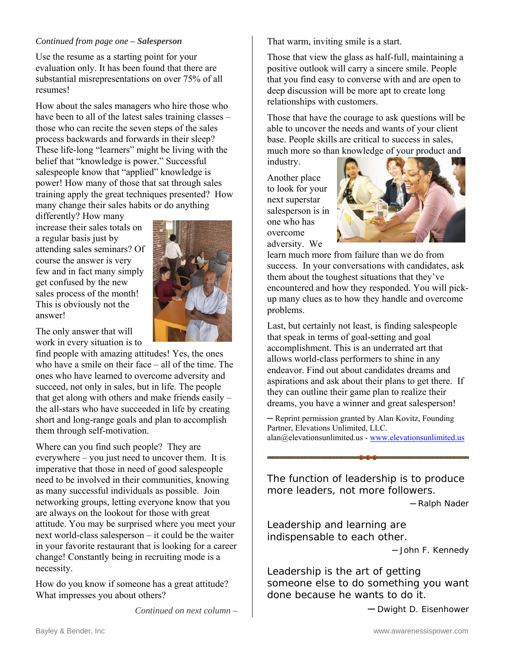#### *Continued from page one – Salesperson*

Use the resume as a starting point for your evaluation only. It has been found that there are substantial misrepresentations on over 75% of all resumes!

How about the sales managers who hire those who have been to all of the latest sales training classes – those who can recite the seven steps of the sales process backwards and forwards in their sleep? These life-long "learners" might be living with the belief that "knowledge is power." Successful salespeople know that "applied" knowledge is power! How many of those that sat through sales training apply the great techniques presented? How many change their sales habits or do anything

differently? How many increase their sales totals on a regular basis just by attending sales seminars? Of course the answer is very few and in fact many simply get confused by the new sales process of the month! This is obviously not the answer!

The only answer that will work in every situation is to

find people with amazing attitudes! Yes, the ones who have a smile on their face – all of the time. The ones who have learned to overcome adversity and succeed, not only in sales, but in life. The people that get along with others and make friends easily – the all-stars who have succeeded in life by creating short and long-range goals and plan to accomplish them through self-motivation.

Where can you find such people? They are everywhere – you just need to uncover them. It is imperative that those in need of good salespeople need to be involved in their communities, knowing as many successful individuals as possible. Join networking groups, letting everyone know that you are always on the lookout for those with great attitude. You may be surprised where you meet your next world-class salesperson – it could be the waiter in your favorite restaurant that is looking for a career change! Constantly being in recruiting mode is a necessity.

How do you know if someone has a great attitude? What impresses you about others?

*Continued on next column –*

That warm, inviting smile is a start.

Those that view the glass as half-full, maintaining a positive outlook will carry a sincere smile. People that you find easy to converse with and are open to deep discussion will be more apt to create long relationships with customers.

Those that have the courage to ask questions will be able to uncover the needs and wants of your client base. People skills are critical to success in sales, much more so than knowledge of your product and

industry.

Another place to look for your next superstar salesperson is in one who has overcome adversity. We



learn much more from failure than we do from success. In your conversations with candidates, ask them about the toughest situations that they've encountered and how they responded. You will pickup many clues as to how they handle and overcome problems.

Last, but certainly not least, is finding salespeople that speak in terms of goal-setting and goal accomplishment. This is an underrated art that allows world-class performers to shine in any endeavor. Find out about candidates dreams and aspirations and ask about their plans to get there. If they can outline their game plan to realize their dreams, you have a winner and great salesperson!

─ Reprint permission granted by Alan Kovitz, Founding Partner, Elevations Unlimited, LLC. alan@elevationsunlimited.us - www.elevationsunlimited.us

The function of leadership is to produce more leaders, not more followers.

─ Ralph Nader

Leadership and learning are indispensable to each other.

─ John F. Kennedy

Leadership is the art of getting someone else to do something you want done because he wants to do it.

─ Dwight D. Eisenhower